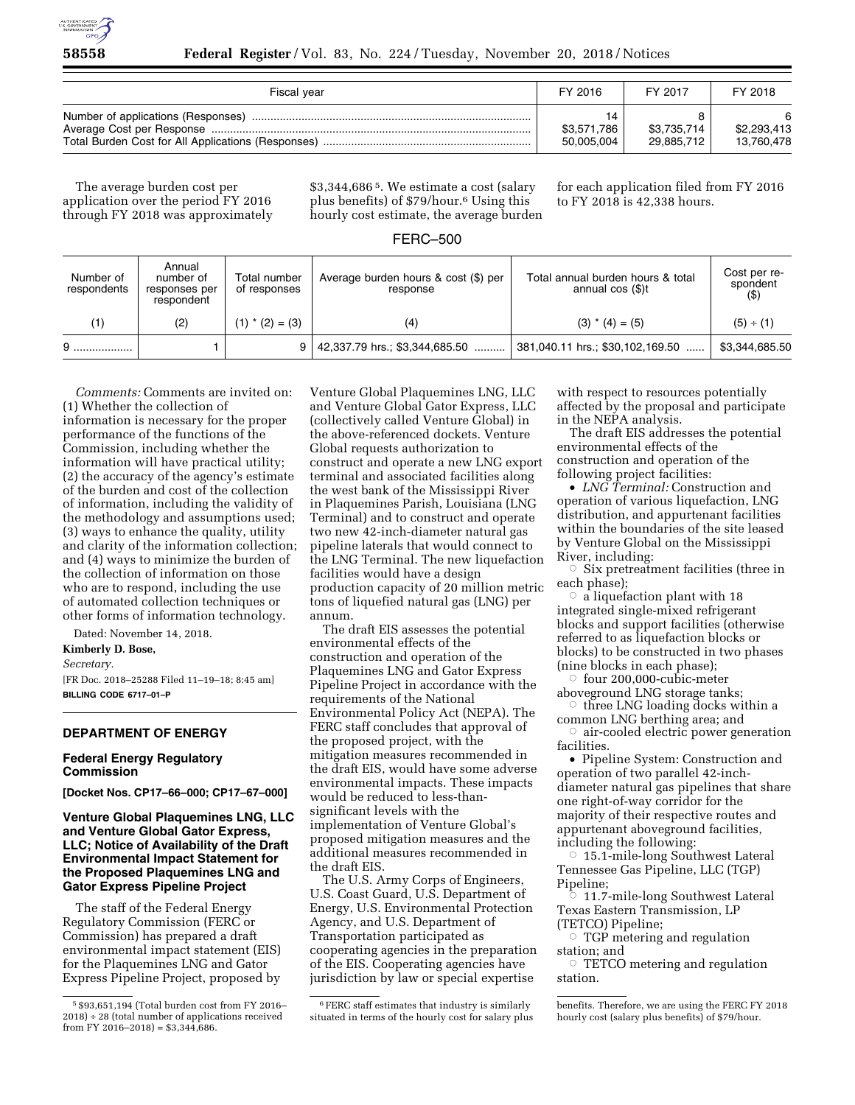

| Fiscal year | FY 2016                         | FY 2017                   | FY 2018                   |
|-------------|---------------------------------|---------------------------|---------------------------|
|             | 14<br>\$3,571,786<br>50.005.004 | \$3,735,714<br>29,885,712 | \$2,293,413<br>13.760.478 |

The average burden cost per application over the period FY 2016 through FY 2018 was approximately \$3,344,686 5. We estimate a cost (salary plus benefits) of \$79/hour.6 Using this hourly cost estimate, the average burden for each application filed from FY 2016 to FY 2018 is 42,338 hours.

# FERC–500

| Number of<br>respondents | Annual<br>number of<br>responses per<br>respondent | Total number<br>of responses | Average burden hours & cost (\$) per<br>response | Total annual burden hours & total<br>annual $cos($ \$)t | Cost per re-<br>spondent<br>(5) |
|--------------------------|----------------------------------------------------|------------------------------|--------------------------------------------------|---------------------------------------------------------|---------------------------------|
| (1)                      | (2)                                                | $(1) * (2) = (3)$            | (4)                                              | $(3) * (4) = (5)$                                       | (5) ÷ (1)                       |
|                          |                                                    |                              | 42,337.79 hrs.; \$3,344,685.50                   | 381,040.11 hrs.; \$30,102,169.50                        | \$3,344,685.50                  |

*Comments:* Comments are invited on: (1) Whether the collection of information is necessary for the proper performance of the functions of the Commission, including whether the information will have practical utility; (2) the accuracy of the agency's estimate of the burden and cost of the collection of information, including the validity of the methodology and assumptions used; (3) ways to enhance the quality, utility and clarity of the information collection; and (4) ways to minimize the burden of the collection of information on those who are to respond, including the use of automated collection techniques or other forms of information technology.

Dated: November 14, 2018.

#### **Kimberly D. Bose,**

*Secretary.* 

[FR Doc. 2018–25288 Filed 11–19–18; 8:45 am] **BILLING CODE 6717–01–P** 

## **DEPARTMENT OF ENERGY**

### **Federal Energy Regulatory Commission**

**[Docket Nos. CP17–66–000; CP17–67–000]** 

### **Venture Global Plaquemines LNG, LLC and Venture Global Gator Express, LLC; Notice of Availability of the Draft Environmental Impact Statement for the Proposed Plaquemines LNG and Gator Express Pipeline Project**

The staff of the Federal Energy Regulatory Commission (FERC or Commission) has prepared a draft environmental impact statement (EIS) for the Plaquemines LNG and Gator Express Pipeline Project, proposed by

Venture Global Plaquemines LNG, LLC and Venture Global Gator Express, LLC (collectively called Venture Global) in the above-referenced dockets. Venture Global requests authorization to construct and operate a new LNG export terminal and associated facilities along the west bank of the Mississippi River in Plaquemines Parish, Louisiana (LNG Terminal) and to construct and operate two new 42-inch-diameter natural gas pipeline laterals that would connect to the LNG Terminal. The new liquefaction facilities would have a design production capacity of 20 million metric tons of liquefied natural gas (LNG) per annum.

The draft EIS assesses the potential environmental effects of the construction and operation of the Plaquemines LNG and Gator Express Pipeline Project in accordance with the requirements of the National Environmental Policy Act (NEPA). The FERC staff concludes that approval of the proposed project, with the mitigation measures recommended in the draft EIS, would have some adverse environmental impacts. These impacts would be reduced to less-thansignificant levels with the implementation of Venture Global's proposed mitigation measures and the additional measures recommended in the draft EIS.

The U.S. Army Corps of Engineers, U.S. Coast Guard, U.S. Department of Energy, U.S. Environmental Protection Agency, and U.S. Department of Transportation participated as cooperating agencies in the preparation of the EIS. Cooperating agencies have jurisdiction by law or special expertise

with respect to resources potentially affected by the proposal and participate in the NEPA analysis.

The draft EIS addresses the potential environmental effects of the construction and operation of the following project facilities:

• *LNG Terminal:* Construction and operation of various liquefaction, LNG distribution, and appurtenant facilities within the boundaries of the site leased by Venture Global on the Mississippi River, including:

 $\circ$  Six pretreatment facilities (three in each phase);

 $\circ$  a liquefaction plant with 18 integrated single-mixed refrigerant blocks and support facilities (otherwise referred to as liquefaction blocks or blocks) to be constructed in two phases (nine blocks in each phase);

 $\circ$  four 200,000-cubic-meter aboveground LNG storage tanks;

 $\circ$  three LNG loading docks within a common LNG berthing area; and

 $\circ$  air-cooled electric power generation facilities.

• Pipeline System: Construction and operation of two parallel 42-inchdiameter natural gas pipelines that share one right-of-way corridor for the majority of their respective routes and appurtenant aboveground facilities, including the following:

 $\circ$  15.1-mile-long Southwest Lateral Tennessee Gas Pipeline, LLC (TGP) Pipeline;

 $\overline{\circ}$  11.7-mile-long Southwest Lateral Texas Eastern Transmission, LP (TETCO) Pipeline;

 $\circ$  TGP metering and regulation station; and

 $\circ$  TETCO metering and regulation station.

<sup>5</sup> \$93,651,194 (Total burden cost from FY 2016– 2018) ÷ 28 (total number of applications received from FY 2016–2018) =  $$3,344,686$ .

<sup>6</sup>FERC staff estimates that industry is similarly situated in terms of the hourly cost for salary plus

benefits. Therefore, we are using the FERC FY 2018 hourly cost (salary plus benefits) of \$79/hour.